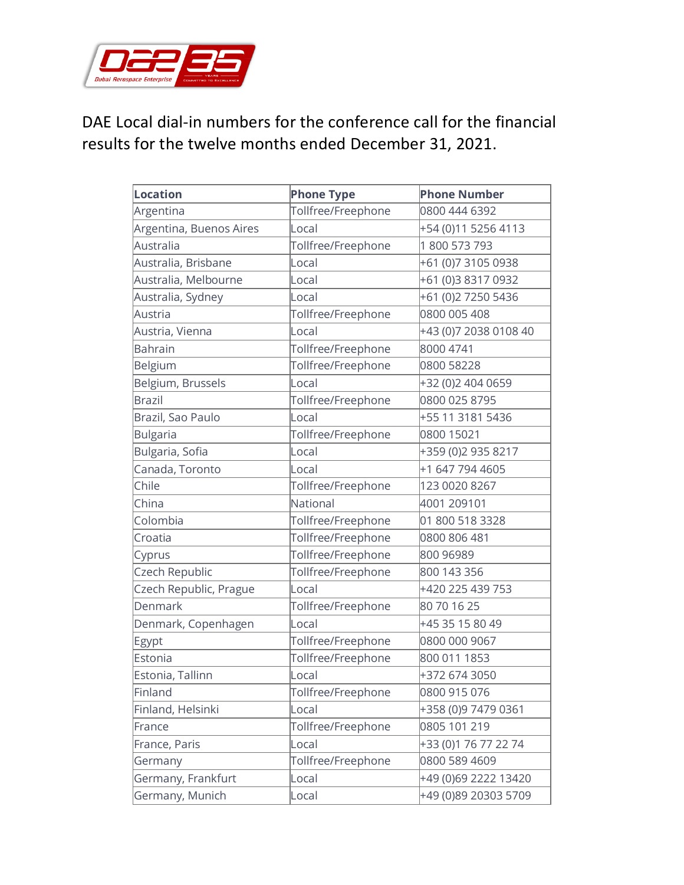

## DAE Local dial-in numbers for the conference call for the financial results for the twelve months ended December 31, 2021.

| Location                | <b>Phone Type</b>  | <b>Phone Number</b>   |
|-------------------------|--------------------|-----------------------|
| Argentina               | Tollfree/Freephone | 0800 444 6392         |
| Argentina, Buenos Aires | Local              | +54 (0)11 5256 4113   |
| Australia               | Tollfree/Freephone | 1800 573 793          |
| Australia, Brisbane     | Local              | +61 (0)7 3105 0938    |
| Australia, Melbourne    | Local              | +61 (0)3 8317 0932    |
| Australia, Sydney       | Local              | +61 (0)2 7250 5436    |
| Austria                 | Tollfree/Freephone | 0800 005 408          |
| Austria, Vienna         | Local              | +43 (0)7 2038 0108 40 |
| <b>Bahrain</b>          | Tollfree/Freephone | 8000 4741             |
| Belgium                 | Tollfree/Freephone | 0800 58228            |
| Belgium, Brussels       | Local              | +32 (0)2 404 0659     |
| <b>Brazil</b>           | Tollfree/Freephone | 0800 025 8795         |
| Brazil, Sao Paulo       | Local              | +55 11 3181 5436      |
| <b>Bulgaria</b>         | Tollfree/Freephone | 0800 15021            |
| Bulgaria, Sofia         | Local              | +359 (0)2 935 8217    |
| Canada, Toronto         | Local              | +1 647 794 4605       |
| Chile                   | Tollfree/Freephone | 123 0020 8267         |
| China                   | National           | 4001 209101           |
| Colombia                | Tollfree/Freephone | 01 800 518 3328       |
| Croatia                 | Tollfree/Freephone | 0800 806 481          |
| Cyprus                  | Tollfree/Freephone | 800 96989             |
| Czech Republic          | Tollfree/Freephone | 800 143 356           |
| Czech Republic, Prague  | Local              | +420 225 439 753      |
| Denmark                 | Tollfree/Freephone | 80 70 16 25           |
| Denmark, Copenhagen     | Local              | +45 35 15 80 49       |
| Egypt                   | Tollfree/Freephone | 0800 000 9067         |
| Estonia                 | Tollfree/Freephone | 800 011 1853          |
| Estonia, Tallinn        | Local              | +372 674 3050         |
| Finland                 | Tollfree/Freephone | 0800 915 076          |
| Finland, Helsinki       | Local              | +358 (0)9 7479 0361   |
| France                  | Tollfree/Freephone | 0805 101 219          |
| France, Paris           | Local              | +33 (0)1 76 77 22 74  |
| Germany                 | Tollfree/Freephone | 0800 589 4609         |
| Germany, Frankfurt      | Local              | +49 (0)69 2222 13420  |
| Germany, Munich         | Local              | +49 (0)89 20303 5709  |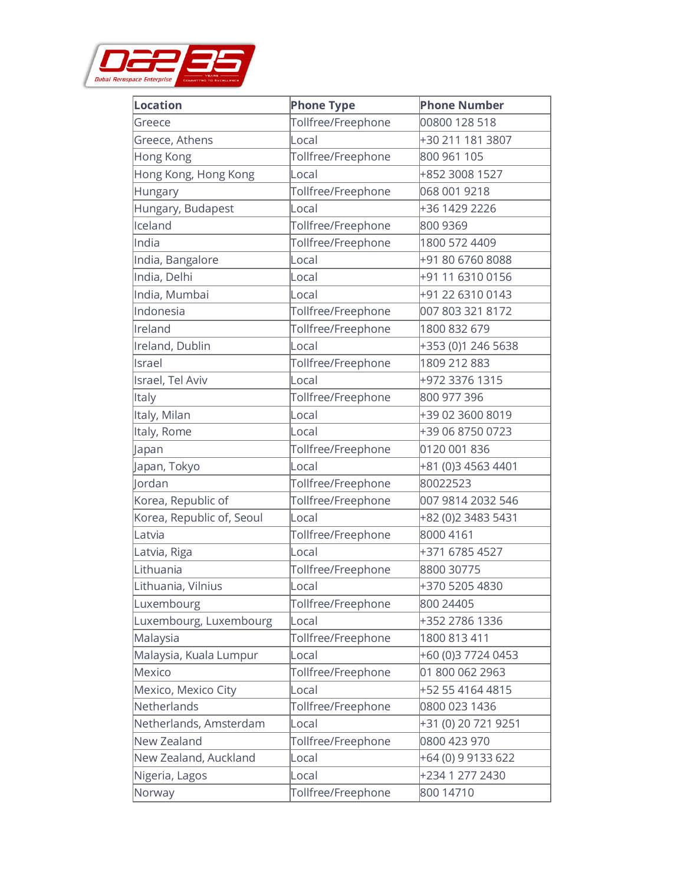

| Location                  | <b>Phone Type</b>  | <b>Phone Number</b> |
|---------------------------|--------------------|---------------------|
| Greece                    | Tollfree/Freephone | 00800 128 518       |
| Greece, Athens            | Local              | +30 211 181 3807    |
| Hong Kong                 | Tollfree/Freephone | 800 961 105         |
| Hong Kong, Hong Kong      | Local              | +852 3008 1527      |
| Hungary                   | Tollfree/Freephone | 068 001 9218        |
| Hungary, Budapest         | Local              | +36 1429 2226       |
| Iceland                   | Tollfree/Freephone | 800 9369            |
| India                     | Tollfree/Freephone | 1800 572 4409       |
| India, Bangalore          | Local              | +91 80 6760 8088    |
| India, Delhi              | Local              | +91 11 6310 0156    |
| India, Mumbai             | Local              | +91 22 6310 0143    |
| Indonesia                 | Tollfree/Freephone | 007 803 321 8172    |
| Ireland                   | Tollfree/Freephone | 1800 832 679        |
| Ireland, Dublin           | Local              | +353 (0)1 246 5638  |
| Israel                    | Tollfree/Freephone | 1809 212 883        |
| Israel, Tel Aviv          | Local              | +972 3376 1315      |
| <b>Italy</b>              | Tollfree/Freephone | 800 977 396         |
| Italy, Milan              | Local              | +39 02 3600 8019    |
| Italy, Rome               | Local              | +39 06 8750 0723    |
| Japan                     | Tollfree/Freephone | 0120 001 836        |
| Japan, Tokyo              | Local              | +81 (0)3 4563 4401  |
| Jordan                    | Tollfree/Freephone | 80022523            |
| Korea, Republic of        | Tollfree/Freephone | 007 9814 2032 546   |
| Korea, Republic of, Seoul | Local              | +82 (0)2 3483 5431  |
| Latvia                    | Tollfree/Freephone | 8000 4161           |
| Latvia, Riga              | Local              | +371 6785 4527      |
| Lithuania                 | Tollfree/Freephone | 8800 30775          |
| Lithuania, Vilnius        | Local              | +370 5205 4830      |
| Luxembourg                | Tollfree/Freephone | 800 24405           |
| Luxembourg, Luxembourg    | Local              | +352 2786 1336      |
| Malaysia                  | Tollfree/Freephone | 1800 813 411        |
| Malaysia, Kuala Lumpur    | Local              | +60 (0)3 7724 0453  |
| Mexico                    | Tollfree/Freephone | 01 800 062 2963     |
| Mexico, Mexico City       | Local              | +52 55 4164 4815    |
| Netherlands               | Tollfree/Freephone | 0800 023 1436       |
| Netherlands, Amsterdam    | Local              | +31 (0) 20 721 9251 |
| New Zealand               | Tollfree/Freephone | 0800 423 970        |
| New Zealand, Auckland     | Local              | +64 (0) 9 9133 622  |
| Nigeria, Lagos            | Local              | +234 1 277 2430     |
| Norway                    | Tollfree/Freephone | 800 14710           |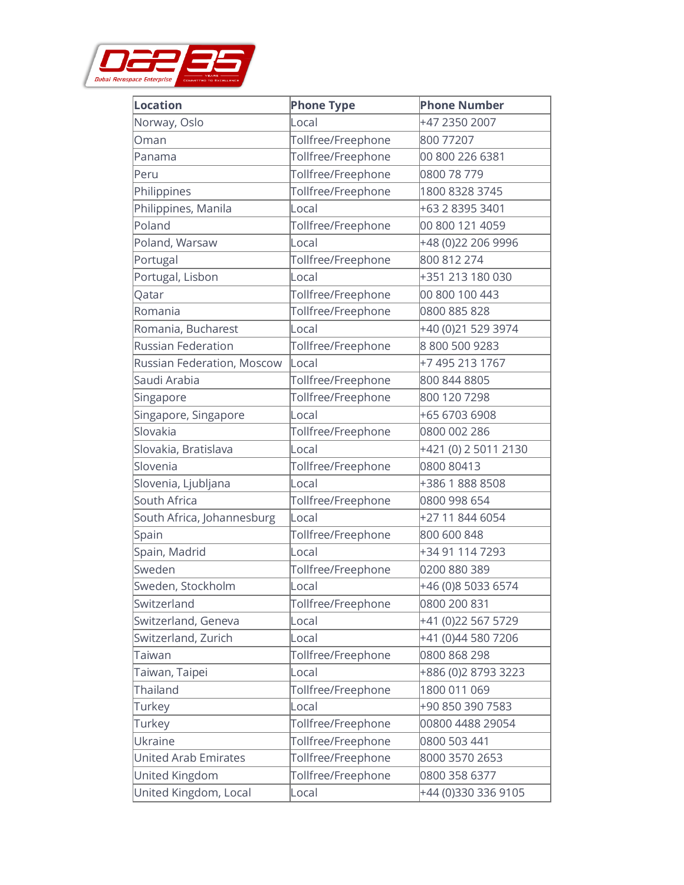

| <b>Location</b>             | <b>Phone Type</b>  | <b>Phone Number</b>  |
|-----------------------------|--------------------|----------------------|
| Norway, Oslo                | Local              | +47 2350 2007        |
| Oman                        | Tollfree/Freephone | 800 77207            |
| Panama                      | Tollfree/Freephone | 00 800 226 6381      |
| Peru                        | Tollfree/Freephone | 0800 78 779          |
| Philippines                 | Tollfree/Freephone | 1800 8328 3745       |
| Philippines, Manila         | Local              | +63 2 8395 3401      |
| Poland                      | Tollfree/Freephone | 00 800 121 4059      |
| Poland, Warsaw              | Local              | +48 (0)22 206 9996   |
| Portugal                    | Tollfree/Freephone | 800 812 274          |
| Portugal, Lisbon            | Local              | +351 213 180 030     |
| Qatar                       | Tollfree/Freephone | 00 800 100 443       |
| Romania                     | Tollfree/Freephone | 0800 885 828         |
| Romania, Bucharest          | Local              | +40 (0)21 529 3974   |
| <b>Russian Federation</b>   | Tollfree/Freephone | 88005009283          |
| Russian Federation, Moscow  | Local              | +7 495 213 1767      |
| Saudi Arabia                | Tollfree/Freephone | 800 844 8805         |
| Singapore                   | Tollfree/Freephone | 800 120 7298         |
| Singapore, Singapore        | Local              | +65 6703 6908        |
| Slovakia                    | Tollfree/Freephone | 0800 002 286         |
| Slovakia, Bratislava        | Local              | +421 (0) 2 5011 2130 |
| Slovenia                    | Tollfree/Freephone | 0800 80413           |
| Slovenia, Ljubljana         | Local              | +386 1 888 8508      |
| South Africa                | Tollfree/Freephone | 0800 998 654         |
| South Africa, Johannesburg  | Local              | +27 11 844 6054      |
| Spain                       | Tollfree/Freephone | 800 600 848          |
| Spain, Madrid               | Local              | +34 91 114 7293      |
| Sweden                      | Tollfree/Freephone | 0200 880 389         |
| Sweden, Stockholm           | Local              | +46 (0)8 5033 6574   |
| Switzerland                 | Tollfree/Freephone | 0800 200 831         |
| Switzerland, Geneva         | Local              | +41 (0)22 567 5729   |
| Switzerland, Zurich         | Local              | +41 (0)44 580 7206   |
| Taiwan                      | Tollfree/Freephone | 0800 868 298         |
| Taiwan, Taipei              | Local              | +886 (0)2 8793 3223  |
| Thailand                    | Tollfree/Freephone | 1800 011 069         |
| Turkey                      | Local              | +90 850 390 7583     |
| Turkey                      | Tollfree/Freephone | 00800 4488 29054     |
| Ukraine                     | Tollfree/Freephone | 0800 503 441         |
| <b>United Arab Emirates</b> | Tollfree/Freephone | 8000 3570 2653       |
| United Kingdom              | Tollfree/Freephone | 0800 358 6377        |
| United Kingdom, Local       | Local              | +44 (0)330 336 9105  |